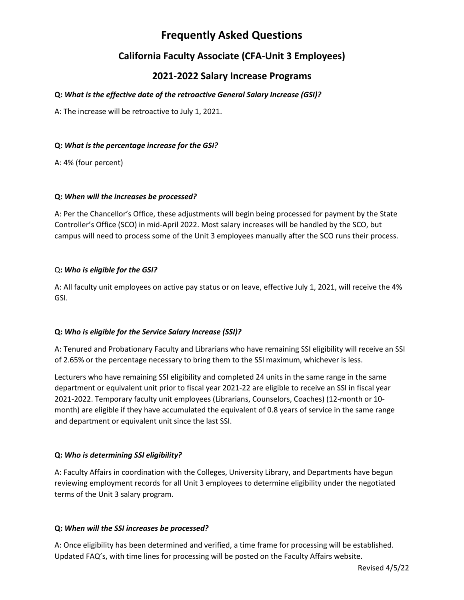# **Frequently Asked Questions**

# **California Faculty Associate (CFA-Unit 3 Employees)**

# **2021-2022 Salary Increase Programs**

# **Q:** *What is the effective date of the retroactive General Salary Increase (GSI)?*

A: The increase will be retroactive to July 1, 2021.

### **Q:** *What is the percentage increase for the GSI?*

A: 4% (four percent)

#### **Q:** *When will the increases be processed?*

A: Per the Chancellor's Office, these adjustments will begin being processed for payment by the State Controller's Office (SCO) in mid-April 2022. Most salary increases will be handled by the SCO, but campus will need to process some of the Unit 3 employees manually after the SCO runs their process.

#### Q**:** *Who is eligible for the GSI?*

A: All faculty unit employees on active pay status or on leave, effective July 1, 2021, will receive the 4% GSI.

### **Q:** *Who is eligible for the Service Salary Increase (SSI)?*

A: Tenured and Probationary Faculty and Librarians who have remaining SSI eligibility will receive an SSI of 2.65% or the percentage necessary to bring them to the SSI maximum, whichever is less.

Lecturers who have remaining SSI eligibility and completed 24 units in the same range in the same department or equivalent unit prior to fiscal year 2021-22 are eligible to receive an SSI in fiscal year 2021-2022. Temporary faculty unit employees (Librarians, Counselors, Coaches) (12-month or 10 month) are eligible if they have accumulated the equivalent of 0.8 years of service in the same range and department or equivalent unit since the last SSI.

### **Q:** *Who is determining SSI eligibility?*

A: Faculty Affairs in coordination with the Colleges, University Library, and Departments have begun reviewing employment records for all Unit 3 employees to determine eligibility under the negotiated terms of the Unit 3 salary program.

#### **Q:** *When will the SSI increases be processed?*

A: Once eligibility has been determined and verified, a time frame for processing will be established. Updated FAQ's, with time lines for processing will be posted on the Faculty Affairs website.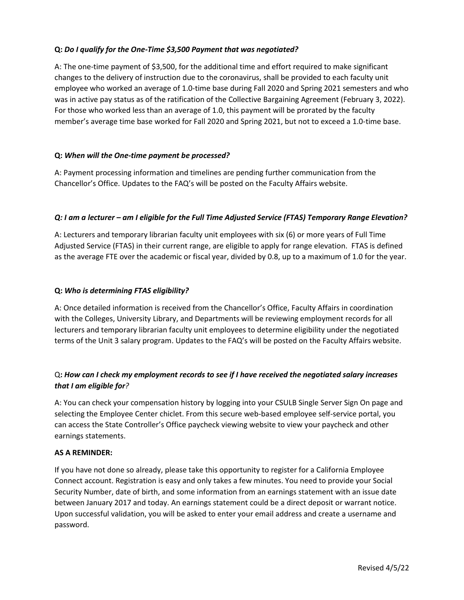#### **Q:** *Do I qualify for the One-Time \$3,500 Payment that was negotiated?*

A: The one-time payment of \$3,500, for the additional time and effort required to make significant changes to the delivery of instruction due to the coronavirus, shall be provided to each faculty unit employee who worked an average of 1.0-time base during Fall 2020 and Spring 2021 semesters and who was in active pay status as of the ratification of the Collective Bargaining Agreement (February 3, 2022). For those who worked less than an average of 1.0, this payment will be prorated by the faculty member's average time base worked for Fall 2020 and Spring 2021, but not to exceed a 1.0-time base.

#### **Q:** *When will the One-time payment be processed?*

A: Payment processing information and timelines are pending further communication from the Chancellor's Office. Updates to the FAQ's will be posted on the Faculty Affairs website.

#### *Q: I am a lecturer – am I eligible for the Full Time Adjusted Service (FTAS) Temporary Range Elevation?*

A: Lecturers and temporary librarian faculty unit employees with six (6) or more years of Full Time Adjusted Service (FTAS) in their current range, are eligible to apply for range elevation. FTAS is defined as the average FTE over the academic or fiscal year, divided by 0.8, up to a maximum of 1.0 for the year.

#### **Q:** *Who is determining FTAS eligibility?*

A: Once detailed information is received from the Chancellor's Office, Faculty Affairs in coordination with the Colleges, University Library, and Departments will be reviewing employment records for all lecturers and temporary librarian faculty unit employees to determine eligibility under the negotiated terms of the Unit 3 salary program. Updates to the FAQ's will be posted on the Faculty Affairs website.

# Q**:** *How can I check my employment records to see if I have received the negotiated salary increases that I am eligible for?*

A: You can check your compensation history by logging into your CSULB Single Server Sign On page and selecting the Employee Center chiclet. From this secure web-based employee self-service portal, you can access the State Controller's Office paycheck viewing website to view your paycheck and other earnings statements.

#### **AS A REMINDER:**

If you have not done so already, please take this opportunity to register for a California Employee Connect account. Registration is easy and only takes a few minutes. You need to provide your Social Security Number, date of birth, and some information from an earnings statement with an issue date between January 2017 and today. An earnings statement could be a direct deposit or warrant notice. Upon successful validation, you will be asked to enter your email address and create a username and password.